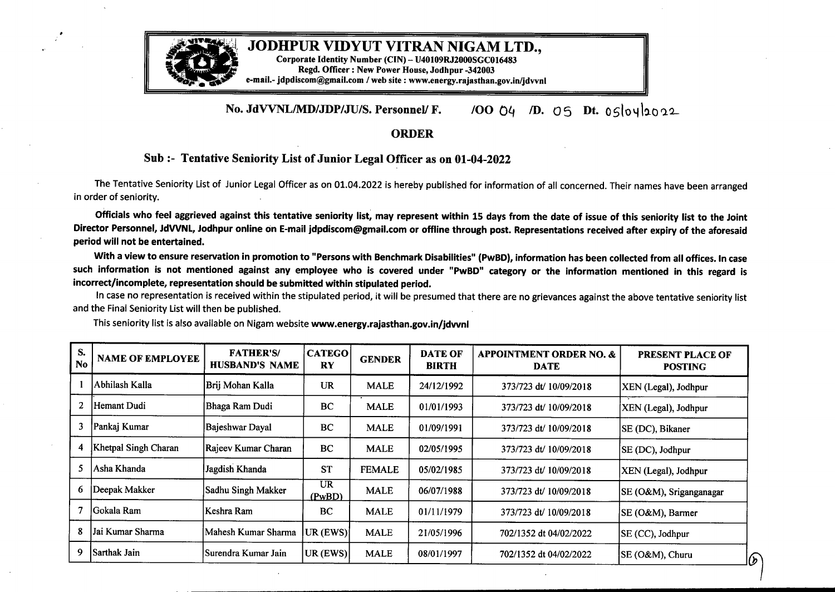

## **JODHPUR VIDYUT VITRAN NIGAM LTD.,**

**Corporate Identity Number (CIN)-U40109RJ2000SGC016483 Regd. Officer: New Power House, Jodhpur -342003 e-mail.- jdpdiscom@gmail.com /web site : www.energy.rajasthan.gov.in/jdvvnl**

## **No. JdVVNL/MD/JDP/JU/S. Personnel/ F.** */oO* O4 */D.* 05 Dt. 05loyl2002

## **ORDER**

## **Sub:- Tentative Seniority List of Junior Legal Officer as on 01-04-2022**

The Tentative Seniority List of Junior Legal Officer as on 01.04.2022 is hereby published for information of all concerned. Their names have been arranged in order of seniority.

Officials who feel aggrieved against this tentative seniority list, may represent within 15 days from the date of issue of this seniority list to the Joint Director Personnel, JdVVNL, Jodhpur online on E-mail jdpdiscom@gmail.com or offline through post. Representations received after expiry of the aforesaid period will not be entertained.

With <sup>a</sup> view to ensure reservation in promotion to "Persons with Benchmark Disabilities" **(PwBD),** information has been collected from all offices. In case such information is not mentioned against any employee who is covered under "PwBD" category or the information mentioned in this regard is **incorrect/incomplete, representation should be submitted within stipulated period.**

In case no representation is received within the stipulated period, it will be presumed that there are no grievances against the above tentative seniority list and the Final Seniority List will then be published.

| S.<br>No | <b>NAME OF EMPLOYEE</b> | <b>FATHER'S/</b><br><b>HUSBAND'S NAME</b> | <b>CATEGO</b><br><b>RY</b> | <b>GENDER</b> | <b>DATE OF</b><br><b>BIRTH</b> | <b>APPOINTMENT ORDER NO. &amp;</b><br><b>DATE</b> | <b>PRESENT PLACE OF</b><br><b>POSTING</b> |
|----------|-------------------------|-------------------------------------------|----------------------------|---------------|--------------------------------|---------------------------------------------------|-------------------------------------------|
|          | Abhilash Kalla          | Brij Mohan Kalla                          | <b>UR</b>                  | <b>MALE</b>   | 24/12/1992                     | 373/723 dt/ 10/09/2018                            | XEN (Legal), Jodhpur                      |
| 2        | Hemant Dudi             | Bhaga Ram Dudi                            | BC                         | <b>MALE</b>   | 01/01/1993                     | 373/723 dt/ 10/09/2018                            | XEN (Legal), Jodhpur                      |
| 3        | Pankaj Kumar            | Bajeshwar Dayal                           | BC                         | <b>MALE</b>   | 01/09/1991                     | 373/723 dt/ 10/09/2018                            | SE (DC), Bikaner                          |
| 4        | Khetpal Singh Charan    | Rajeev Kumar Charan                       | BC                         | <b>MALE</b>   | 02/05/1995                     | 373/723 dt/ 10/09/2018                            | SE (DC), Jodhpur                          |
| 5.       | Asha Khanda             | Jagdish Khanda                            | <b>ST</b>                  | <b>FEMALE</b> | 05/02/1985                     | 373/723 dt/ 10/09/2018                            | XEN (Legal), Jodhpur                      |
| 6        | Deepak Makker           | Sadhu Singh Makker                        | UR.<br>(PwBD)              | <b>MALE</b>   | 06/07/1988                     | 373/723 dt/ 10/09/2018                            | SE (O&M), Sriganganagar                   |
|          | lGokala Ram             | Keshra Ram                                | BC                         | <b>MALE</b>   | 01/11/1979                     | 373/723 dt/ 10/09/2018                            | SE (O&M), Barmer                          |
| 8        | Jai Kumar Sharma        | Mahesh Kumar Sharma                       | UR (EWS)                   | <b>MALE</b>   | 21/05/1996                     | 702/1352 dt 04/02/2022                            | SE (CC), Jodhpur                          |
| 9        | Sarthak Jain            | Surendra Kumar Jain                       | UR (EWS)                   | <b>MALE</b>   | 08/01/1997                     | 702/1352 dt 04/02/2022                            | SE (O&M), Churu                           |

This seniority list is also available on Nigam website **www.energy.rajasthan.gov.in/jdvvnl**